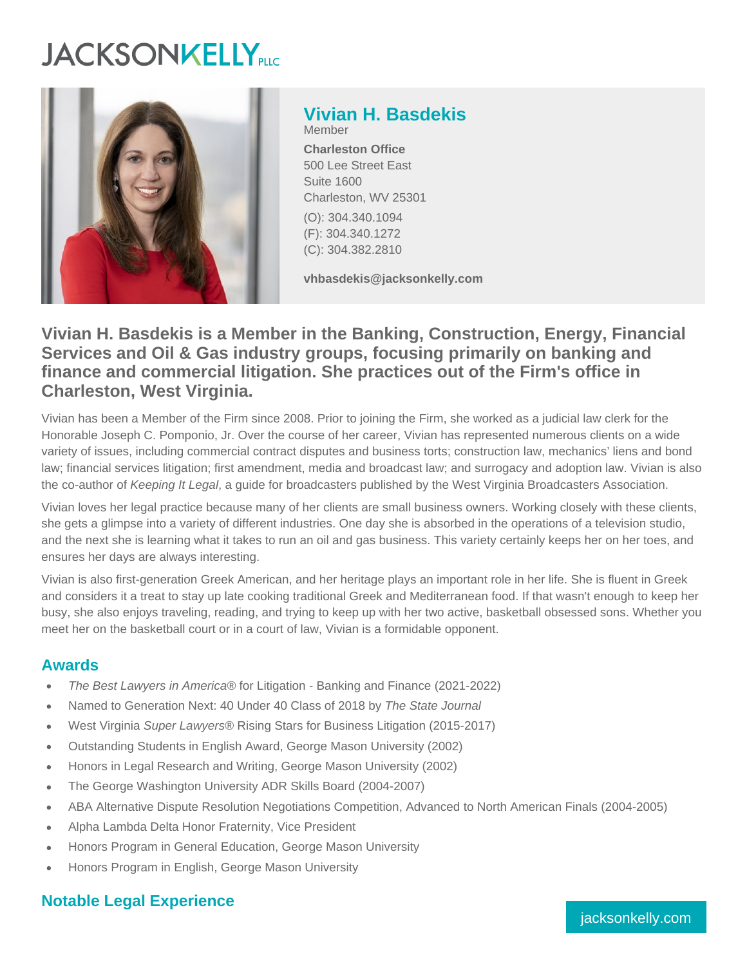# **JACKSONKELLY**



**Vivian H. Basdekis** Member **Charleston Office** 500 Lee Street East Suite 1600 Charleston, WV 25301 (O): 304.340.1094 (F): 304.340.1272

**vhbasdekis@jacksonkelly.com**

# **Vivian H. Basdekis is a Member in the Banking, Construction, Energy, Financial Services and Oil & Gas industry groups, focusing primarily on banking and finance and commercial litigation. She practices out of the Firm's office in Charleston, West Virginia.**

(C): 304.382.2810

Vivian has been a Member of the Firm since 2008. Prior to joining the Firm, she worked as a judicial law clerk for the Honorable Joseph C. Pomponio, Jr. Over the course of her career, Vivian has represented numerous clients on a wide variety of issues, including commercial contract disputes and business torts; construction law, mechanics' liens and bond law; financial services litigation; first amendment, media and broadcast law; and surrogacy and adoption law. Vivian is also the co-author of Keeping It Legal, a quide for broadcasters published by the West Virginia Broadcasters Association.

Vivian loves her legal practice because many of her clients are small business owners. Working closely with these clients, she gets a glimpse into a variety of different industries. One day she is absorbed in the operations of a television studio, and the next she is learning what it takes to run an oil and gas business. This variety certainly keeps her on her toes, and ensures her days are always interesting.

Vivian is also first-generation Greek American, and her heritage plays an important role in her life. She is fluent in Greek and considers it a treat to stay up late cooking traditional Greek and Mediterranean food. If that wasn't enough to keep her busy, she also enjoys traveling, reading, and trying to keep up with her two active, basketball obsessed sons. Whether you meet her on the basketball court or in a court of law, Vivian is a formidable opponent.

## **Awards**

- The Best Lawyers in America® for Litigation Banking and Finance (2021-2022)
- Named to Generation Next: 40 Under 40 Class of 2018 by The State Journal
- West Virginia Super Lawyers® Rising Stars for Business Litigation (2015-2017)
- Outstanding Students in English Award, George Mason University (2002)
- Honors in Legal Research and Writing, George Mason University (2002)
- The George Washington University ADR Skills Board (2004-2007)  $\bullet$
- ABA Alternative Dispute Resolution Negotiations Competition, Advanced to North American Finals (2004-2005)  $\bullet$
- Alpha Lambda Delta Honor Fraternity, Vice President
- Honors Program in General Education, George Mason University
- Honors Program in English, George Mason University

# **Notable Legal Experience**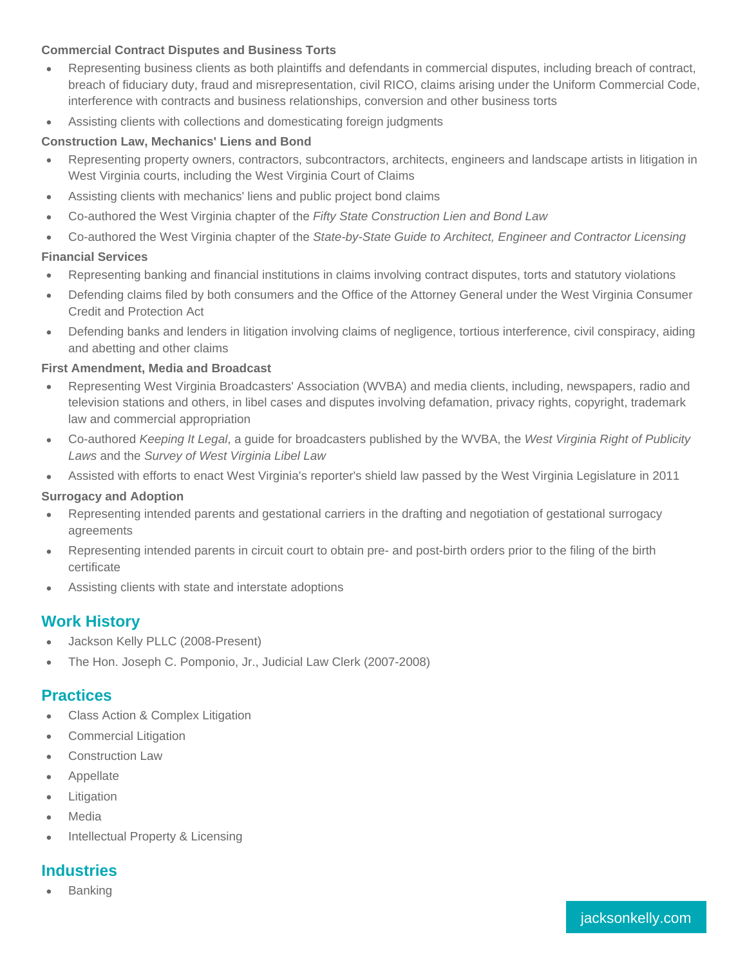#### **Commercial Contract Disputes and Business Torts**

- Representing business clients as both plaintiffs and defendants in commercial disputes, including breach of contract,  $\bullet$ breach of fiduciary duty, fraud and misrepresentation, civil RICO, claims arising under the Uniform Commercial Code, interference with contracts and business relationships, conversion and other business torts
- Assisting clients with collections and domesticating foreign judgments

#### **Construction Law, Mechanics' Liens and Bond**

- Representing property owners, contractors, subcontractors, architects, engineers and landscape artists in litigation in West Virginia courts, including the West Virginia Court of Claims
- Assisting clients with mechanics' liens and public project bond claims
- Co-authored the West Virginia chapter of the Fifty State Construction Lien and Bond Law
- Co-authored the West Virginia chapter of the State-by-State Guide to Architect, Engineer and Contractor Licensing  $\bullet$

#### **Financial Services**

- Representing banking and financial institutions in claims involving contract disputes, torts and statutory violations
- Defending claims filed by both consumers and the Office of the Attorney General under the West Virginia Consumer Credit and Protection Act
- Defending banks and lenders in litigation involving claims of negligence, tortious interference, civil conspiracy, aiding and abetting and other claims

#### **First Amendment, Media and Broadcast**

- Representing West Virginia Broadcasters' Association (WVBA) and media clients, including, newspapers, radio and television stations and others, in libel cases and disputes involving defamation, privacy rights, copyright, trademark law and commercial appropriation
- Co-authored Keeping It Legal, a guide for broadcasters published by the WVBA, the West Virginia Right of Publicity  $\bullet$ Laws and the Survey of West Virginia Libel Law
- Assisted with efforts to enact West Virginia's reporter's shield law passed by the West Virginia Legislature in 2011

#### **Surrogacy and Adoption**

- Representing intended parents and gestational carriers in the drafting and negotiation of gestational surrogacy agreements
- Representing intended parents in circuit court to obtain pre- and post-birth orders prior to the filing of the birth certificate
- Assisting clients with state and interstate adoptions

## **Work History**

- Jackson Kelly PLLC (2008-Present)
- The Hon. Joseph C. Pomponio, Jr., Judicial Law Clerk (2007-2008)

#### **Practices**

- Class Action & Complex Litigation  $\blacksquare$
- Commercial Litigation
- Construction Law
- Appellate
- Litigation ٠
- Media
- Intellectual Property & Licensing

# **Industries**

Banking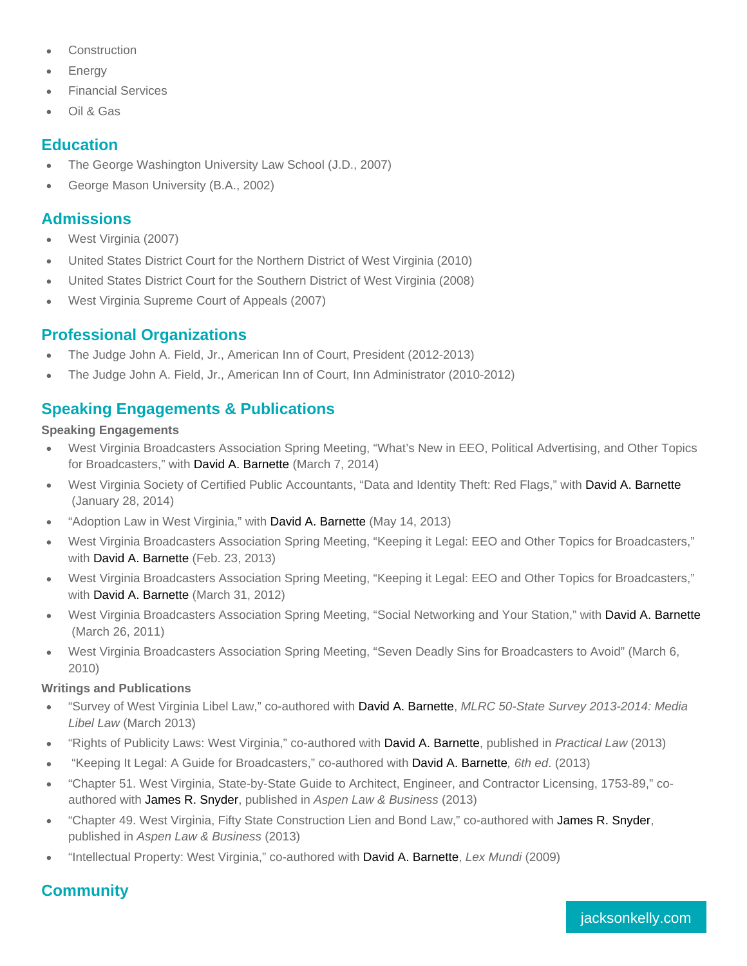- Construction
- **Energy**
- Financial Services
- Oil & Gas

#### **Education**

- The George Washington University Law School (J.D., 2007)
- George Mason University (B.A., 2002)

### Admissions

- West Virginia (2007)
- United States District Court for the Northern District of West Virginia (2010)
- United States District Court for the Southern District of West Virginia (2008)
- West Virginia Supreme Court of Appeals (2007)  $\bullet$

## Professional Organizations

- The Judge John A. Field, Jr., American Inn of Court, President (2012-2013)  $\bullet$
- The Judge John A. Field, Jr., American Inn of Court, Inn Administrator (2010-2012)

## Speaking Engagements & Publications

Speaking Engagements

- West Virginia Broadcasters Association Spring Meeting, "What's New in EEO, Political Advertising, and Other Topics for Broadcasters," with [David A. Barnette](http://www.jacksonkelly.com/professionals/david-a-barnette) (March 7, 2014)
- West Virginia Society of Certified Public Accountants, "Data and Identity Theft: Red Flags," with [David A. Barnette](http://www.jacksonkelly.com/professionals/david-a-barnette) (January 28, 2014)
- "Adoption Law in West Virginia," with [David A. Barnette](http://www.jacksonkelly.com/professionals/david-a-barnette) (May 14, 2013)
- West Virginia Broadcasters Association Spring Meeting, "Keeping it Legal: EEO and Other Topics for Broadcasters," with [David A. Barnette](http://www.jacksonkelly.com/professionals/david-a-barnette) (Feb. 23, 2013)
- West Virginia Broadcasters Association Spring Meeting, "Keeping it Legal: EEO and Other Topics for Broadcasters," with [David A. Barnette](http://www.jacksonkelly.com/professionals/david-a-barnette) (March 31, 2012)
- West Virginia Broadcasters Association Spring Meeting, "Social Networking and Your Station," with [David A. Barnette](http://www.jacksonkelly.com/professionals/david-a-barnette) (March 26, 2011)
- West Virginia Broadcasters Association Spring Meeting, "Seven Deadly Sins for Broadcasters to Avoid" (March 6,  $\bullet$ 2010)

Writings and Publications

- "Survey of West Virginia Libel Law," co-authored with [David A. Barnette](http://www.jacksonkelly.com/professionals/david-a-barnette), MLRC 50-State Survey 2013-2014: Media Libel Law (March 2013)
- "Rights of Publicity Laws: West Virginia," co-authored with [David A. Barnette](http://www.jacksonkelly.com/professionals/david-a-barnette), published in Practical Law (2013)
- "Keeping It Legal: A Guide for Broadcasters," co-authored with [David A. Barnette](http://www.jacksonkelly.com/professionals/david-a-barnette), 6th ed. (2013)
- "Chapter 51. West Virginia, State-by-State Guide to Architect, Engineer, and Contractor Licensing, 1753-89," coauthored with [James R. Snyder,](http://www.jacksonkelly.com/professionals/james-r-snyder) published in Aspen Law & Business (2013)
- "Chapter 49. West Virginia, Fifty State Construction Lien and Bond Law," co-authored with [James R. Snyder](http://www.jacksonkelly.com/professionals/james-r-snyder), published in Aspen Law & Business (2013)
- "Intellectual Property: West Virginia," co-authored with [David A. Barnette](http://www.jacksonkelly.com/professionals/david-a-barnette), Lex Mundi (2009)

# **Community**